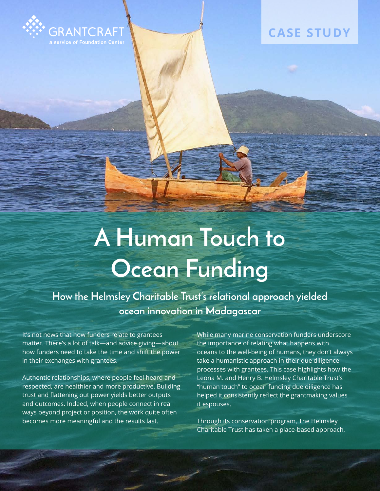

# **CASE STUDY**

# **A Human Touch to Ocean Funding**

**How the Helmsley Charitable Trust's relational approach yielded ocean innovation in Madagascar**

It's not news that how funders relate to grantees matter. There's a lot of talk—and advice giving—about how funders need to take the time and shift the power in their exchanges with grantees.

Authentic relationships, where people feel heard and respected, are healthier and more productive. Building trust and flattening out power yields better outputs and outcomes. Indeed, when people connect in real ways beyond project or position, the work quite often becomes more meaningful and the results last.

While many marine conservation funders underscore the importance of relating what happens with oceans to the well-being of humans, they don't always take a humanistic approach in their due diligence processes with grantees. This case highlights how the Leona M. and Henry B. Helmsley Charitable Trust's "human touch" to ocean funding due diligence has helped it consistently reflect the grantmaking values it espouses.

Through its conservation program, The Helmsley Charitable Trust has taken a place-based approach,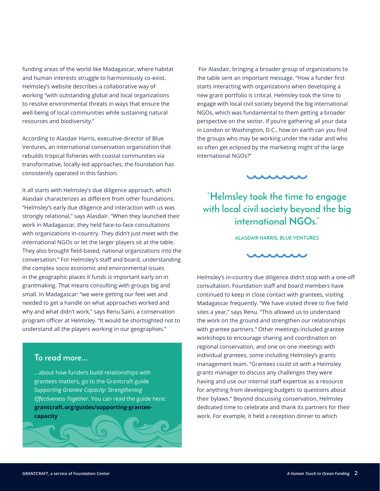funding areas of the world like Madagascar, where habitat and human interests struggle to harmoniously co-exist. Helmsley's website describes a collaborative way of working "with outstanding global and local organizations to resolve environmental threats in ways that ensure the well-being of local communities while sustaining natural resources and biodiversity."

According to Alasdair Harris, executive director of Blue Ventures, an international conservation organization that rebuilds tropical fisheries with coastal communities via transformative, locally-led approaches, the foundation has consistently operated in this fashion.

It all starts with Helmsley's due diligence approach, which Alasdair characterizes as different from other foundations. "Helmsley's early due diligence and interaction with us was strongly relational," says Alasdair. "When they launched their work in Madagascar, they held face-to-face consultations with organizations in-country. They didn't just meet with the international NGOs or let the larger players sit at the table. They also brought field-based, national organizations into the conversation." For Helmsley's staff and board, understanding the complex socio economic and environmental issues in the geographic places it funds is important early on in grantmaking. That means consulting with groups big and small. In Madagascar: "we were getting our feet wet and needed to get a handle on what approaches worked and why and what didn't work," says Renu Saini, a conservation program officer at Helmsley. "It would be shortsighted not to understand all the players working in our geographies."

#### **To read more...**

...about how funders build relationships with grantees matters, go to the Grantcraft guide *Supporting Grantee Capacity: Strengthening Effectiveness Together*. You can read the guide here: **[grantcraft.org/guides/supporting-grantee](http://grantcraft.org/guides/supporting-grantee-capacity)[capacity](http://grantcraft.org/guides/supporting-grantee-capacity)**.

 For Alasdair, bringing a broader group of organizations to the table sent an important message. "How a funder first starts interacting with organizations when developing a new grant portfolio is critical. Helmsley took the time to engage with local civil society beyond the big international NGOs, which was fundamental to them getting a broader perspective on the sector. If you're gathering all your data in London or Washington, D.C., how on earth can you find the groups who may be working under the radar and who so often get eclipsed by the marketing might of the large international NGOs?"



## **"Helmsley took the time to engage with local civil society beyond the big international NGOs."**

**ALASDAIR HARRIS, BLUE VENTURES**



Helmsley's in-country due diligence didn't stop with a one-off consultation. Foundation staff and board members have continued to keep in close contact with grantees, visiting Madagascar frequently. "We have visited three to five field sites a year," says Renu. "This allowed us to understand the work on the ground and strengthen our relationships with grantee partners." Other meetings included grantee workshops to encourage sharing and coordination on regional conservation, and one on one meetings with individual grantees, some including Helmsley's grants management team. "Grantees could sit with a Helmsley grants manager to discuss any challenges they were having and use our internal staff expertise as a resource for anything from developing budgets to questions about their bylaws." Beyond discussing conservation, Helmsley dedicated time to celebrate and thank its partners for their work. For example, it held a reception dinner to which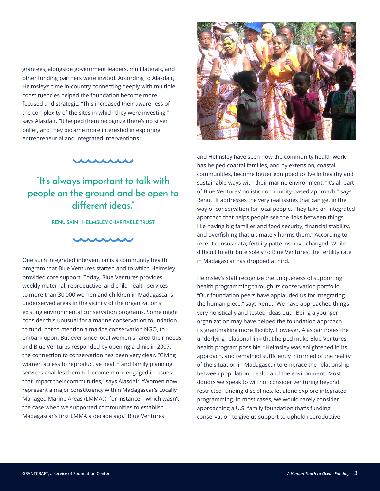grantees, alongside government leaders, multilaterals, and other funding partners were invited. According to Alasdair, Helmsley's time in-country connecting deeply with multiple constituencies helped the foundation become more focused and strategic. "This increased their awareness of the complexity of the sites in which they were investing," says Alasdair. "It helped them recognize there's no silver bullet, and they became more interested in exploring entrepreneurial and integrated interventions."



## **"It's always important to talk with people on the ground and be open to different ideas."**

**RENU SAINI, HELMSLEY CHARITABLE TRUST**



One such integrated intervention is a community health program that Blue Ventures started and to which Helmsley provided core support. Today, Blue Ventures provides weekly maternal, reproductive, and child health services to more than 30,000 women and children in Madagascar's underserved areas in the vicinity of the organization's existing environmental conservation programs. Some might consider this unusual for a marine conservation foundation to fund, not to mention a marine conservation NGO, to embark upon. But ever since local women shared their needs and Blue Ventures responded by opening a clinic in 2007, the connection to conservation has been very clear. "Giving women access to reproductive health and family planning services enables them to become more engaged in issues that impact their communities," says Alasdair. "Women now represent a major constituency within Madagascar's Locally Managed Marine Areas (LMMAs), for instance—which wasn't the case when we supported communities to establish Madagascar's first LMMA a decade ago." Blue Ventures



and Helmsley have seen how the community health work has helped coastal families, and by extension, coastal communities, become better equipped to live in healthy and sustainable ways with their marine environment. "It's all part of Blue Ventures' holistic community-based approach," says Renu. "It addresses the very real issues that can get in the way of conservation for local people. They take an integrated approach that helps people see the links between things like having big families and food security, financial stability, and overfishing that ultimately harms them." According to recent census data, fertility patterns have changed. While difficult to attribute solely to Blue Ventures, the fertility rate in Madagascar has dropped a third.

Helmsley's staff recognize the uniqueness of supporting health programming through its conservation portfolio. "Our foundation peers have applauded us for integrating the human piece," says Renu. "We have approached things very holistically and tested ideas out." Being a younger organization may have helped the foundation approach its grantmaking more flexibly. However, Alasdair notes the underlying relational link that helped make Blue Ventures' health program possible. "Helmsley was enlightened in its approach, and remained sufficiently informed of the reality of the situation in Madagascar to embrace the relationship between population, health and the environment. Most donors we speak to will not consider venturing beyond restricted funding disciplines, let alone explore integrated programming. In most cases, we would rarely consider approaching a U.S. family foundation that's funding conservation to give us support to uphold reproductive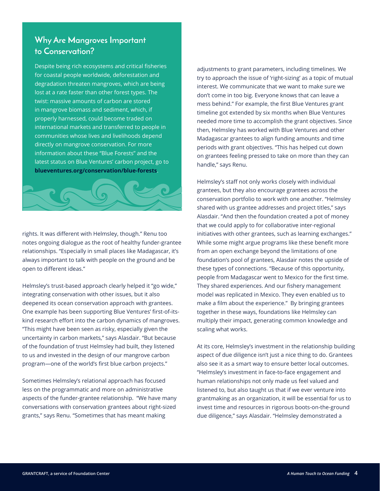#### **Why Are Mangroves Important to Conservation?**

Despite being rich ecosystems and critical fisheries for coastal people worldwide, deforestation and degradation threaten mangroves, which are being lost at a rate faster than other forest types. The twist: massive amounts of carbon are stored in mangrove biomass and sediment, which, if properly harnessed, could become traded on international markets and transferred to people in communities whose lives and livelihoods depend directly on mangrove conservation. For more information about these "Blue Forests" and the latest status on Blue Ventures' carbon project, go to **[blueventures.org/conservation/blue-forests](http://blueventures.org/conservation/blue-forests)**.



rights. It was different with Helmsley, though." Renu too notes ongoing dialogue as the root of healthy funder-grantee relationships. "Especially in small places like Madagascar, it's always important to talk with people on the ground and be open to different ideas."

Helmsley's trust-based approach clearly helped it "go wide," integrating conservation with other issues, but it also deepened its ocean conservation approach with grantees. One example has been supporting Blue Ventures' first-of-itskind research effort into the carbon dynamics of mangroves. "This might have been seen as risky, especially given the uncertainty in carbon markets," says Alasdair. "But because of the foundation of trust Helmsley had built, they listened to us and invested in the design of our mangrove carbon program—one of the world's first blue carbon projects."

Sometimes Helmsley's relational approach has focused less on the programmatic and more on administrative aspects of the funder-grantee relationship. "We have many conversations with conservation grantees about right-sized grants," says Renu. "Sometimes that has meant making

adjustments to grant parameters, including timelines. We try to approach the issue of 'right-sizing' as a topic of mutual interest. We communicate that we want to make sure we don't come in too big. Everyone knows that can leave a mess behind." For example, the first Blue Ventures grant timeline got extended by six months when Blue Ventures needed more time to accomplish the grant objectives. Since then, Helmsley has worked with Blue Ventures and other Madagascar grantees to align funding amounts and time periods with grant objectives. "This has helped cut down on grantees feeling pressed to take on more than they can handle," says Renu.

Helmsley's staff not only works closely with individual grantees, but they also encourage grantees across the conservation portfolio to work with one another. "Helmsley shared with us grantee addresses and project titles," says Alasdair. "And then the foundation created a pot of money that we could apply to for collaborative inter-regional initiatives with other grantees, such as learning exchanges." While some might argue programs like these benefit more from an open exchange beyond the limitations of one foundation's pool of grantees, Alasdair notes the upside of these types of connections. "Because of this opportunity, people from Madagascar went to Mexico for the first time. They shared experiences. And our fishery management model was replicated in Mexico. They even enabled us to make a film about the experience." By bringing grantees together in these ways, foundations like Helmsley can multiply their impact, generating common knowledge and scaling what works.

At its core, Helmsley's investment in the relationship building aspect of due diligence isn't just a nice thing to do. Grantees also see it as a smart way to ensure better local outcomes. "Helmsley's investment in face-to-face engagement and human relationships not only made us feel valued and listened to, but also taught us that if we ever venture into grantmaking as an organization, it will be essential for us to invest time and resources in rigorous boots-on-the-ground due diligence," says Alasdair. "Helmsley demonstrated a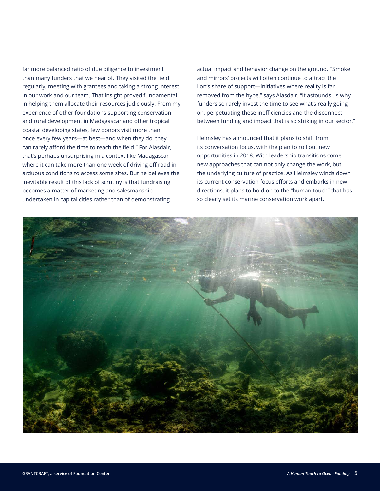far more balanced ratio of due diligence to investment than many funders that we hear of. They visited the field regularly, meeting with grantees and taking a strong interest in our work and our team. That insight proved fundamental in helping them allocate their resources judiciously. From my experience of other foundations supporting conservation and rural development in Madagascar and other tropical coastal developing states, few donors visit more than once every few years—at best—and when they do, they can rarely afford the time to reach the field." For Alasdair, that's perhaps unsurprising in a context like Madagascar where it can take more than one week of driving off road in arduous conditions to access some sites. But he believes the inevitable result of this lack of scrutiny is that fundraising becomes a matter of marketing and salesmanship undertaken in capital cities rather than of demonstrating

actual impact and behavior change on the ground. "'Smoke and mirrors' projects will often continue to attract the lion's share of support—initiatives where reality is far removed from the hype," says Alasdair. "It astounds us why funders so rarely invest the time to see what's really going on, perpetuating these inefficiencies and the disconnect between funding and impact that is so striking in our sector."

Helmsley has announced that it plans to shift from its conversation focus, with the plan to roll out new opportunities in 2018. With leadership transitions come new approaches that can not only change the work, but the underlying culture of practice. As Helmsley winds down its current conservation focus efforts and embarks in new directions, it plans to hold on to the "human touch" that has so clearly set its marine conservation work apart.